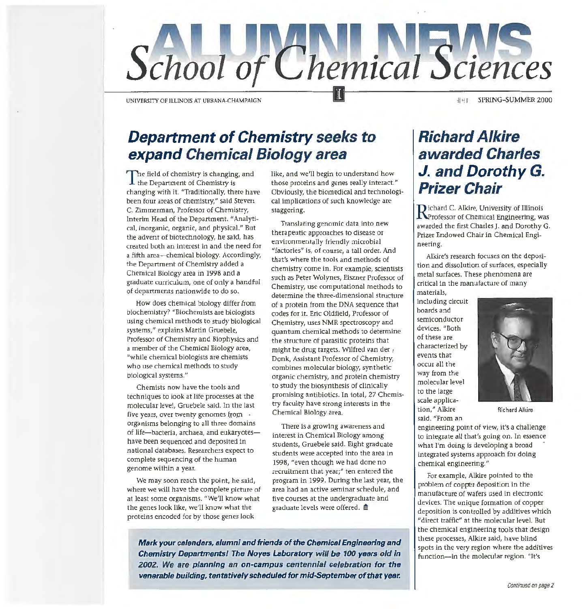

UNIVERSITY OF ILUNOIS AT URBANA-CHAMPAIGN

#### Hell SPRING-SUMMER 2000

### **Department of Chemistry seeks to expand Chemical Biology area**

The field of chemistry is changing, and **1** the Department of Chemistry is changing with it. "Traditionally, there have been four areas of chemistry," said Steven C. Zimmerman, Professor of Chemistry, Interim Head of the Department. "Analytical, inorganic, organic, and physical." But the advent of biotechnology, he said, has created both an interest in and the need for a fifth area-chemical biology. Accordingly, the Department of Chemistry added a Chemical Biology area in 1998 and a graduate curriculum, one of only a handful of departments nationwide to do so.

How does chemical biology differ from biochemistry? "Biochemists are biologists using chemical methods to study biological systems," explains Martin Gruebele, Professor of Chemistry and Biophysics and a member of the Chemical Biology area, "while chemical biologists are chemists who use chemical methods to study biological systems."

Chemists now have the tools and techniques to look at life processes at the molecular level, Gruebele said. In the last five years, over twenty genomes  $from$ organisms belonging to all three domains of life-bacteria, archaea, and eukaryoteshave been sequenced and deposited in national databases. Researchers expect to complete sequencing of the human genome within a year.

We may soon reach the point, he said, where we will have the complete picture of at least some organisms. "We'll know what the genes look like, we'll know what the proteins encoded for by those genes look

like, and we'll begin to understand how those proteins and genes really interact." Obviously, the biomedical and technological implications of such knowledge are staggering.

Translating genomic data into new therapeutic approaches to disease or environmentally friendly microbial "factories" is, of course, a tall order. And that's where the tools and methods of chemistry come in. For example, scientists such as Peter Wolynes, Eiszner Professor of Chemistry, use computational methods to determine the three-dimensional structure of a protein from the DNA sequence that codes for it. Eric Oldfield, Professor of Chemistry, uses NMR spectroscopy and quantum chemical methods to determine the structure of parasitic proteins that might be drug targets. Wilfred van der  $t$ Donk, Assistant Professor of Chemistry, combines molecular biology, synthetic organic chemistry, and protein chemistry to study the biosynthesis of clinically promising antibiotics. In total, 27 Chemistry faculty have strong interests in the Chemical Biology area.

There is a growing awareness and interest in Chemical Biology among students, Gruebele said. Eight graduate students were accepted into the area in 1998, "even though we had done no recruitment that year;" ten entered the program in 1999. During the last year, the area had an active seminar schedule, and five courses at the undergraduate and graduate levels were offered.  $\blacksquare$ 

**Mark your calendars, alumni and friends of the Chemical Engineering and Chemistry Departments! The Noyes Laboratory will be 100 years old in 2002. We are planning an on-campus centennial celebration for the venerable building, tentatively scheduled for mid-September of that year.** 

### **Richard Alkire awarded Charles J. and Dorothy G. Prizer Chair**

**fl** ichard C. Alkire, University of Illinois **f** Professor of Chemical Engineering, was awarded the first Charles]. and Dorothy G. Prizer Endowed Chair in Chemical Engineering.

Alkire's research focuses on the deposition and dissolution of surfaces, especially metal surfaces. These phenomena are critical in the manufacture of many

materials, including circuit boards and semiconductor devices. "Both of these are characterized by events that occur all the way from the molecular level to the large scale application," Alkire said. "From an



Richard Alkire

engineering point of view, it's a challenge to integrate all that's going on. In essence what I'm doing is developing a broad integrated systems approach for doing chemical engineering."

For example, Alkire pointed to the problem of copper deposition in the manufacture of wafers used in electronic devices. The unique formation of copper deposition is controlled by additives which "direct traffic" at the molecular level. But the chemical engineering tools that design these processes, Alkire said, have blind spots in the very region where the additives function--in the molecular region. "It's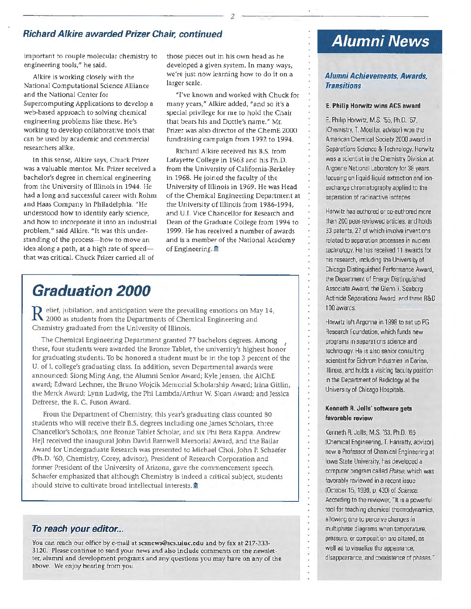#### Richard Alkire awarded Prizer Chair, continued

important to couple molecular chemistry to engineering tools," he said.

Alkire is working closely with the National Computational Science Alliance and the National Center for Supercomputing Applications to develop a web-based approach to solving chemical engineering problems like these. He's working to develop collaborative tools that can be used by academic and commercial researchers alike.

In this sense, Alkire says, Chuck Prizer was a valuable mentor. Mr. Prizer received a bachelor's degree in chemical engineering from the University of Illinois in 1944. He had a long and successful career with Rohm and Haas Company in Philadelphia. "He understood how to identify early science, and how to incorporate it into an industrial problem," said Alkire. "It was this understanding of the process-how to move an idea along a path, at a high rate of speed $$ that was critical. Chuck Prizer carried all of

those pieces out in his own head as he developed a given system. In many ways, we're just now learning how to do it on a larger scale.

"I've known and worked with Chuck for many years," Alkire added, ''and so it's a special privilege for me to hold the Chair that bears his and Dottie's name.'' Mr. Prizer was also director of the ChernE 2000 fundraising campaign from 1992 to 1994.

Richard Alkire received his B.S. from Lafayette College in 1963 and his Ph.D. from the University of California-Berkeley in 1968. He joined the faculty of the University of lllinois in 1969. He was Head of the Chemical Engineering Department at the University of Illinois from 1986-1994, and U.l. Vice Chancellor for Research and Dean of the Graduate College from 1994 to 1999. He has received a number of awards and is a member of the National Academy of Engineering. $\blacksquare$ 

### **Graduation 2000**

 ${\bf R}$  elief, jubilation, and anticipation were the prevailing emotions on May 14, 2000 as students from the Departments of Chemical Engineering and Chemistry graduated from the University of Illinois.

The Chemical Engineering Department granted 77 bachelors degrees. Among these, four students were awarded the Bronze Tablet, the university's highest honor for graduating students. To be honored a student must be in the top 3 percent of the U. of I. college's graduating class. In addition, seven Departmental awards were announced: Siong Ming Ang, the Alumni Senior Award; Kyle jensen, the AIChE award; Edward Lechner, the Bruno Wojcik Memorial Scholarship Award; Irina Gitlin, the Merck Award; Lynn Ludwig, the Phi Lambda/Arthur W. Sloan Award; and Jessica Defreese, the R. C. Fuson Award.

From the Department of Chemistry, this year's graduating class counted 80 students who will receive their B.S. degrees including one )ames Scholars, three Chancellor's Scholars, one Bronze Tablet Scholar, and six Phi Beta Kappa. Andrew Hejl received the inaugural John David Barnwell Memorial Award, and the Bailar Award for Undergraduate Research was presented to Michael Choi. John P. Schaefer (Ph.D. '60, Chemistry, Corey, advisor), President of Research Corporation and former President of the University of Arizona, gave the commencement speech. Schaefer emphasized that although Chemistry is indeed a critical subject, students should strive to cultivate broad intellectual interests.  $\hat{m}$ 

#### To reach your editor...

You can reach our office by e-mail at scsnews@scs.uiuc.edu and by fax at 217-333-3120. Please continue to send your news and also include comments on the newsletter, alumni and development programs and any questions you may have on any of the above. We enjoy hearing from you.

# **Alumni News**

#### *Alumni Achievements, Awards, Transitions*

#### E. Philip Horwitz wins ACS award

E. Philip Horwitz, M.S. '55. Ph.D. '57. (Chemistry, T. Moeller, advisor) won the American Chemical Society 2000 award in Separations Science & Technology. Horwitz was a scientist in the Chemistry Division at Argonne National Laboratory for 38 years. focusing on liquid-liquid extraction and ionexchange chromatography applied to the separation of radioactive isotopes.

Horwitz has authored or co-authored more than 200 peer-reviewed articles. and holds 33 patents. 27 of which involve inventions related to separation processes in nuclear technology. He has received 11 awards for his research, including the University of Chicago Distinguished Performance Award. the Department of Energy Distinguished Associate Award. the Glenn T. Seaberg Actinide Separations Award. and three R&D 100 awards.

Horwitz left Argonne in 1998 to set up PG Research Foundation. which funds new programs in separations science and technology. He is also senior consulting scientist for Eichrom Industries in Darien. Illinois. and holds a visiting faculty position in the Department of Radiology at the University of Chicago Hospitals.

#### Kenneth R. Jolis' software gets favorable review

Kenneth R. Jolls, M.S. '63. Ph.D. '66 !Chemical Engineering. T. Hanratty, advisor), now a Professor of Chemical Engineering at Iowa State University, has developed a computer program called *Phase.* which was favorably reviewed in a recent issue !October 15, 1999, p. 430) of *Science.*  According to the reviewer, "It is a powerful tool for teaching chemical themmdynamics. allowing one to perceive changes in multiphase diagrams when temperature. pressure, or composition are altered. as well as to visualize the appearance, disappearance. and coexistence of phases."

*2*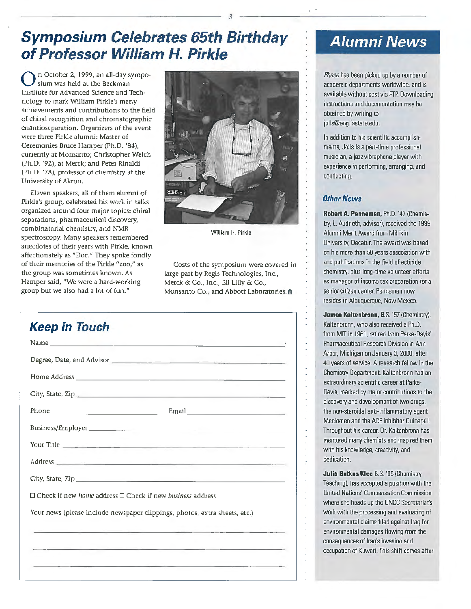# **Symposium Celebrates 65th Birthday of Professor William H. Pirkle**

0 n October 2, 1999, an ali-day symposium was held at the Beckman Institute for Advanced Science and Technology to mark William Pirkle's many achievements and contributions to the field of chiral recognition and chromatographic enantioseparation. Organizers of the event were three Pirkle alumni: Master of Ceremonies Bruce Hamper (Ph.D. '84), currently at Monsanto; Christopher Welch (Ph.D. '92), at Merck; and Peter Rinaldi (Ph.D. '78), professor of chemistry at the University of Akron.

Eleven speakers, all of them alumni of Pirkle's group, celebrated his work in talks organized around four major topics: chiral separations, pharmaceutical discovery, combinatorial chemistry, and NMR spectroscopy. Many speakers remembered anecdotes of their years with Pirkle, known affectionately as "Doc." They spoke fondly of their memories of the Pirkle "zoo," as the group was sometimes known. As Hamper said, ''We were a hard-working group but we also had a lot of fun."



*3* 

William H. Pirkle

Costs of the symposium were covered in large part by Regis Technologies, Inc., Merck & Co., Inc., Eli Lilly & Co., Monsanto Co., and Abbott Laboratories.@

| <b>Keep in Touch</b>                                                       |                                                                                                                                                                                                                                      |
|----------------------------------------------------------------------------|--------------------------------------------------------------------------------------------------------------------------------------------------------------------------------------------------------------------------------------|
|                                                                            | Name <u>and the contract of the contract of the contract of the contract of the contract of the contract of the contract of the contract of the contract of the contract of the contract of the contract of the contract of the </u> |
|                                                                            |                                                                                                                                                                                                                                      |
|                                                                            |                                                                                                                                                                                                                                      |
|                                                                            |                                                                                                                                                                                                                                      |
|                                                                            |                                                                                                                                                                                                                                      |
|                                                                            |                                                                                                                                                                                                                                      |
|                                                                            |                                                                                                                                                                                                                                      |
|                                                                            |                                                                                                                                                                                                                                      |
|                                                                            |                                                                                                                                                                                                                                      |
| □ Check if new home address □ Check if new business address                |                                                                                                                                                                                                                                      |
| Your news (please include newspaper clippings, photos, extra sheets, etc.) |                                                                                                                                                                                                                                      |
|                                                                            |                                                                                                                                                                                                                                      |
|                                                                            | <u> 1989 - Andrea Santa Andrea Andrea Andrea Andrea Andrea Andrea Andrea Andrea Andrea Andrea Andrea Andrea Andre</u>                                                                                                                |
|                                                                            | <u>. Hyperatorial Processes and American and American construction and American and American and American and America</u>                                                                                                            |

### **Alumni News**

Phase has been picked up by a number of academic departments worldwide. and 1s available without cost via FTP. Downloading mstructions and documentation may be obtained by wnting to jolls@eng.iastate.edu.

In addition to his scientific accomplishments, Jolls is a part-time professional musician. a jazz vibraphone player with experience in performing, arranging, and conducting.

#### **Other News**

 $\ddot{\phantom{a}}$ 

**Robert A. Penneman.** Ph.D. '47 (Chemistry, l. Audrieth, advisor), received the 1999 Alumni Merit Award from Millikin University, Decatur. The award was based on his more than 50 years association with and publications in the field of actinide chemistry, plus long-time volunteer efforts as manager of income tax preparation for a senior citizen center. Penneman now resides in Albuquerque, New Mexico.

James Kaltenbronn, B.S. '57 (Chemistry). Kaltenbronn, who also received a Ph.D. from MIT in 1961, retired from Parke·Davis' Pharmaceutical Research Division in Ann Arbor. Michigan on January 3. 2000, after 40 years of service. A research fellow in the Chemistry Department. Kaltenbronn had an extraordinary scientific career at Parke· Davis, marked by major contributions to the discovery and development of two drugs. the non-steroidal anti-inflammatory agent Mecloman and the ACE inhibitor Ouinapril. Throughout his career. Dr. Kaltenbronn has mentored many chemists and inspired them with his knowledge. creativity, and dedication.

**Julia Butkus Klee** B.S. '65 (Chemistry Teaching), has accepted a position with the United Nations' Compensation Commission where she heads up the UNCC Secretariat's work with the processing and evaluating of environmental claims filed against Iraq for environmental damages flowing from the consequences of Iraq's invasion and occupation of Kuwait. This shift comes after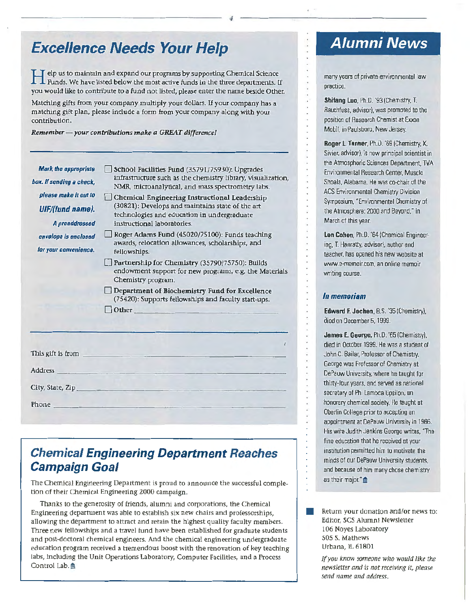### **Excellence Needs Your Help**

H elp us to maintain and expand ow programs by supporting Chemical Science Funds. We have listed below the most active funds in the three departments. If you would like to contribute to a fund not listed, please enter the name beside Other.

Matchlng gifts from your company multiply your dollars. If your company has a matching gift plan, please include a form from your company along with yow contribution.

*Remember- your contributions make a GREAT difference/* 

| <b>Mark the appropriate</b><br>box. If sending a check, | School Facilities Fund (35791/75930): Upgrades<br>infrastructure such as the chemistry library, visualization,<br>NMR, microanalytical, and mass spectrometry labs. |
|---------------------------------------------------------|---------------------------------------------------------------------------------------------------------------------------------------------------------------------|
| please make it out to<br>UIF/(fund name).               | Chemical Engineering Instructional Leadership<br>(30821): Develops and maintains state of the art                                                                   |
| A preaddressed                                          | technologies and education in undergraduate<br>instructional laboratories.                                                                                          |
| envelope is enclosed<br>for your convenience.           | Roger Adams Fund (45020/75100): Funds teaching<br>awards, relocation allowances, scholarships, and<br>fellowships.                                                  |
|                                                         | Partnership for Chemistry (35790/75750): Builds<br>endowment support for new programs, e.g. the Materials<br>Chemistry program.                                     |
|                                                         | $\Box$ Department of Biochemistry Fund for Excellence<br>(75420): Supports fellowships and faculty start-ups.                                                       |
|                                                         | $\Box$ Other                                                                                                                                                        |
| This gift is from                                       |                                                                                                                                                                     |
| <b>Address</b>                                          |                                                                                                                                                                     |
| City, State, Zip                                        |                                                                                                                                                                     |
| Phone                                                   |                                                                                                                                                                     |

#### **Chemical Engineering Department Reaches Campaign Goal**

The Chemical Engineering Department is proud to announce the successful completion of their Chemical Engineering 2000 campaign.

Thanks to the generosity of friends, alumni and corporations, the Chemical Engineering department was able to establish six new chairs and professorships, allowing the department to attract and retain the highest quality faculty members. Three new fellowships and a travel fund have been established for graduate students and post-doctoral chemical engineers. And the chemical engineering undergraduate education program received a tremendous boost with the renovation of key teaching labs, including the Unit Operations Laboratory, Computer Facilities, and a Process Control Lab.

### **Alumni News**

many years of private environmental law practice.

Shifang Luo. Ph.D. '93 (Chemistry. T. Rauchfuss. advisor). was promoted to the position of Research Chemist at Exxon Mobil, in Paulsboro, New Jersey.

Roger L Tanner. Ph.D. '69 (Chemistry, K. Sivier, advisor), is now principal scientist in the Atmospheric Sciences Department. TVA Environmental Research Center, Muscle Shoals, Alabama. He was co-chair of the ACS Environmental Chemistry Division Symposium. "Environmental Chemistry of the Atmosphere: 2000 and Beyond," in March of this year.

Len Cohen. Ph.D. '64 (Chemical Engineermg. T Hanratty, advisor). author and teacher. has opened his new website at www.e-memoir.com. an online memoir writing course.

#### *lnmemorism*

Í.

×

Edward F. Jochen, B.S. '35 (Chemistry). died on December 5, 1999.

James E. George, Ph.D. '65 (Chemistry), died in October 1999. He was a student of John C. Bailar, Professor of Chemistry. George was Professor of Chemistry at DePauw University. where he taught for thirty-four years. and served as national secretary of Phi lambda Upsilon, an honorary chemical society. He taught at Oberlin College prior to accepting an appointment at DePauw University in 1966. His wife Judith Jenkins George writes. "The fine education that he received at your institution permitted him to motivate the minds of our DePauw University students. and because of him many chose chemistry as their major." $\triangleq$ 

• Return your donation and/or news to: Editor, SCS Alumni Newsletter 106 Noyes Laboratory 505 S. Mathews Urbana, IL 61801

*If* you *know someone wlto would like* the *newsletter and is not receiving it, please*  send *name* and address.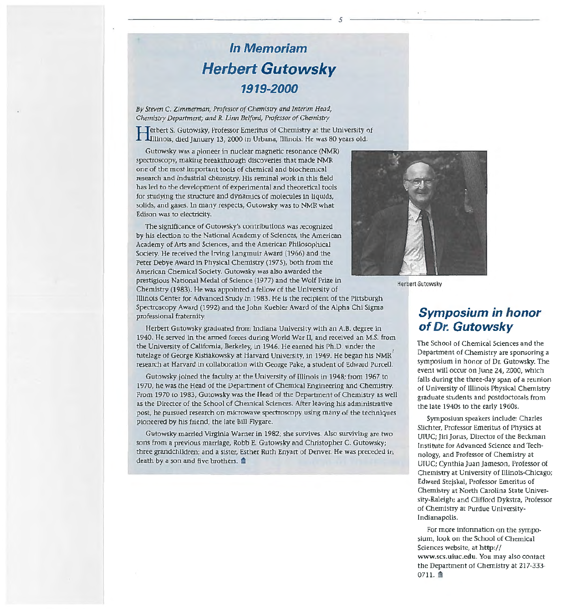# **In Memoriam Herbert Gutowsky 1919-2000**

*5* 

By *Steven* C. *Zimmerman, Professor of Chemistry and Interim Head, Chemistry Department; and R. Linn Belford, Professor of Chemistry* 

Terbert S. Gutowsky, Professor Emeritus of Chemistry at the University of <sup>~</sup>lnunois, died January 13, 2000 in Urbana, lllinois. He was 80 years old.

Gutowsky was a pioneer in nuclear magnetic resonance (NMR) spectroscopy, making breakthrough discoveries that made NMR one of the most important tools of chemical and biochemical research and industrial chemistry. His seminal work In this field has led to the development of experimental and theoretical tools for studying the structure and dynamics of molecules in liquids, solids, and gases. In many respects, Gutowsky was to NMR what Edison was to electricity.

The significance of Gutowsky's contributions was recognized by his election to the National Academy of Sdences, the American Academy of Arts and Sciences, and the American Philosophical Society. He received the Irving Langmuir Award {1966) and the Peter Debye Award in Physical Chemistry (1975), both from the American Chemical Society. Gutowsky was also awarded the prestigious National Medal of Science (1977) and the Wolf Prize In Chemistry (1983). He was appointed a fellow of the University of Illinois Center for Advanced Study in 1983. He is the redplent of the Pittsburgh professional fraternity.



Herbert Gutowsky

### Spectroscopy Award (1992) and the john Kuebler Award of the Alpha Chi Sigma Herbert Gutowsky graduated from Indiana University with an A.B. degree in 1940. He served in the armed forces during World War II, and received an M.S. from

the University of California, Berkeley, in 1946. He earned his Ph.D. under the tutelage of George Kistiakowsky at Harvard University, in 1949. He began his NMR<sup>'</sup> research at Harvard in collaboration with George Pake, a student of Edward Purcell.

Gutowsky joined the faculty at the University of Illinois in 1948; from 1967 to 1970, he was the Head of the Department of Chemical Engineering and Chemistry. From 1970 to 1983, Gutowsky was the Head of the Department of Chemistry as well as the Director of the School of Chemical Sciences. After leaving his administrative post, he pursued research on microwave spectroscopy using many of the techniques pioneered by his friend, the late Bill Flygare.

Gutowsky married Virginia Warner in 1982; she survives. Also surviving are two sons from a previous marriage, Robb E. Gutowsky and Christopher C. Gutowsky; three grandchildren; and a sister, Esther Ruth Enyart of Denver. He was preceded in death by a son and five brothers. **a** 

#### **Symposium in honor of Dr. Gutowsky**

The School of Chemical Sciences and the Department of Chemistry are sponsoring a symposium in honor of Dr. Gutowsky. The event will occur on June 24, 2000, which falls during the three-day span of a reunion of University of Illinois Physical Chemistry graduate students and postdoctorals from the late 1940s to the early 1960s.

Symposium speakers include: Charles Slichter, Professor Emeritus of Physics at UIUC; Jiri Jonas, Director of the Beckman Institute for Advanced Science and Technology, and Professor of Chemistry at UIUC; Cynthia Juan jameson, Professor of Chemistry at University of Illinois-Chicago; Edward Stejskal, Professor Emeritus of Chemistry at North Carolina State University-Raleigh; and Clifford Dykstra, Professor of Chemistry at Purdue University-Indianapolis.

For more information on the symposium, look on the School of Chemical Sciences website, at http:// www.scs.uiuc.edu. You may also contact the Department of Chemistry at 217-333-  $0711.$   $\blacksquare$